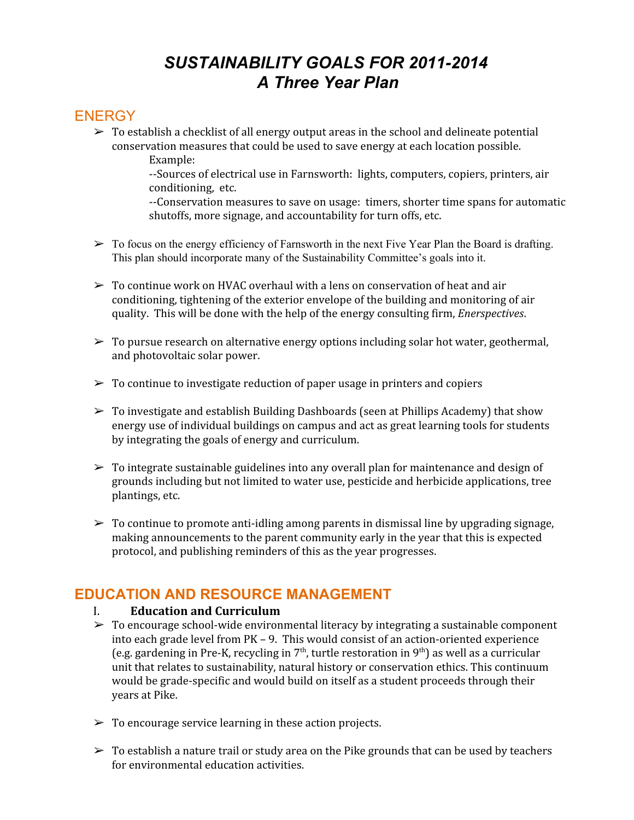# *SUSTAINABILITY GOALS FOR 20112014 A Three Year Plan*

# **ENERGY**

 $\triangleright$  To establish a checklist of all energy output areas in the school and delineate potential conservation measures that could be used to save energy at each location possible. Example:

> --Sources of electrical use in Farnsworth: lights, computers, copiers, printers, air conditioning, etc.

--Conservation measures to save on usage: timers, shorter time spans for automatic shutoffs, more signage, and accountability for turn offs, etc.

- $\triangleright$  To focus on the energy efficiency of Farnsworth in the next Five Year Plan the Board is drafting. This plan should incorporate many of the Sustainability Committee's goals into it.
- $\triangleright$  To continue work on HVAC overhaul with a lens on conservation of heat and air conditioning, tightening of the exterior envelope of the building and monitoring of air quality. This will be done with the help of the energy consulting firm, *Enerspectives*.
- $\triangleright$  To pursue research on alternative energy options including solar hot water, geothermal, and photovoltaic solar power.
- $\triangleright$  To continue to investigate reduction of paper usage in printers and copiers
- $\triangleright$  To investigate and establish Building Dashboards (seen at Phillips Academy) that show energy use of individual buildings on campus and act as great learning tools for students by integrating the goals of energy and curriculum.
- $\triangleright$  To integrate sustainable guidelines into any overall plan for maintenance and design of grounds including but not limited to water use, pesticide and herbicide applications, tree plantings, etc.
- $\triangleright$  To continue to promote anti-idling among parents in dismissal line by upgrading signage, making announcements to the parent community early in the year that this is expected protocol, and publishing reminders of this as the year progresses.

## **EDUCATION AND RESOURCE MANAGEMENT**

#### I. **Education and Curriculum**

- $\triangleright$  To encourage school-wide environmental literacy by integrating a sustainable component into each grade level from PK – 9. This would consist of an action-oriented experience (e.g. gardening in Pre-K, recycling in  $7<sup>th</sup>$ , turtle restoration in  $9<sup>th</sup>$ ) as well as a curricular unit that relates to sustainability, natural history or conservation ethics. This continuum would be grade-specific and would build on itself as a student proceeds through their years at Pike.
- $\triangleright$  To encourage service learning in these action projects.
- $\triangleright$  To establish a nature trail or study area on the Pike grounds that can be used by teachers for environmental education activities.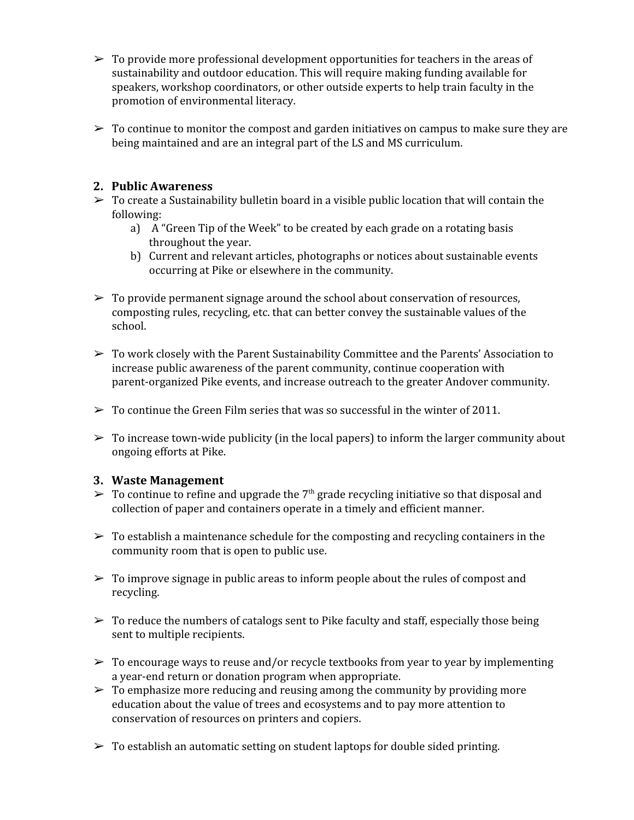- $\triangleright$  To provide more professional development opportunities for teachers in the areas of sustainability and outdoor education. This will require making funding available for speakers, workshop coordinators, or other outside experts to help train faculty in the promotion of environmental literacy.
- $\triangleright$  To continue to monitor the compost and garden initiatives on campus to make sure they are being maintained and are an integral part of the LS and MS curriculum.

### **2. Public Awareness**

- $\triangleright$  To create a Sustainability bulletin board in a visible public location that will contain the following:
	- a) A "Green Tip of the Week" to be created by each grade on a rotating basis throughout the year.
	- b) Current and relevant articles, photographs or notices about sustainable events occurring at Pike or elsewhere in the community.
- $\triangleright$  To provide permanent signage around the school about conservation of resources, composting rules, recycling, etc. that can better convey the sustainable values of the school.
- $\triangleright$  To work closely with the Parent Sustainability Committee and the Parents' Association to increase public awareness of the parent community, continue cooperation with parent-organized Pike events, and increase outreach to the greater Andover community.
- $\triangleright$  To continue the Green Film series that was so successful in the winter of 2011.
- $\triangleright$  To increase town-wide publicity (in the local papers) to inform the larger community about ongoing efforts at Pike.

### **3. Waste Management**

- $\triangleright$  To continue to refine and upgrade the 7<sup>th</sup> grade recycling initiative so that disposal and collection of paper and containers operate in a timely and efficient manner.
- $\geq$  To establish a maintenance schedule for the composting and recycling containers in the community room that is open to public use.
- $\triangleright$  To improve signage in public areas to inform people about the rules of compost and recycling.
- $\triangleright$  To reduce the numbers of catalogs sent to Pike faculty and staff, especially those being sent to multiple recipients.
- $\triangleright$  To encourage ways to reuse and/or recycle textbooks from year to year by implementing a year-end return or donation program when appropriate.
- $\geq$  To emphasize more reducing and reusing among the community by providing more education about the value of trees and ecosystems and to pay more attention to conservation of resources on printers and copiers.
- $\triangleright$  To establish an automatic setting on student laptops for double sided printing.